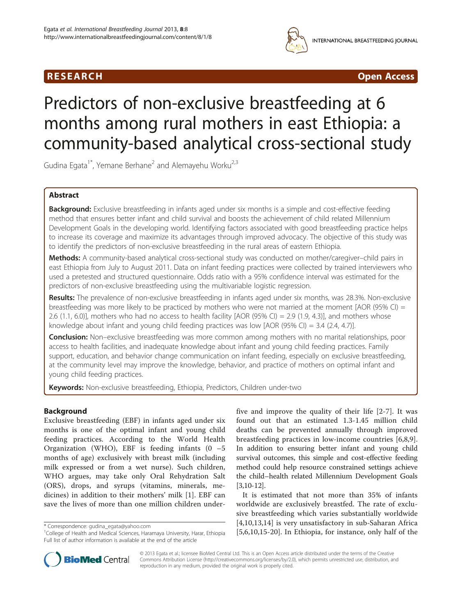## R E S EAR CH Open Access



# Predictors of non-exclusive breastfeeding at 6 months among rural mothers in east Ethiopia: a community-based analytical cross-sectional study

Gudina Egata<sup>1\*</sup>, Yemane Berhane<sup>2</sup> and Alemayehu Worku<sup>2,3</sup>

## Abstract

Background: Exclusive breastfeeding in infants aged under six months is a simple and cost-effective feeding method that ensures better infant and child survival and boosts the achievement of child related Millennium Development Goals in the developing world. Identifying factors associated with good breastfeeding practice helps to increase its coverage and maximize its advantages through improved advocacy. The objective of this study was to identify the predictors of non-exclusive breastfeeding in the rural areas of eastern Ethiopia.

Methods: A community-based analytical cross-sectional study was conducted on mother/caregiver–child pairs in east Ethiopia from July to August 2011. Data on infant feeding practices were collected by trained interviewers who used a pretested and structured questionnaire. Odds ratio with a 95% confidence interval was estimated for the predictors of non-exclusive breastfeeding using the multivariable logistic regression.

Results: The prevalence of non-exclusive breastfeeding in infants aged under six months, was 28.3%. Non-exclusive breastfeeding was more likely to be practiced by mothers who were not married at the moment [AOR (95% CI) = 2.6 (1.1, 6.0)], mothers who had no access to health facility [AOR (95% CI) = 2.9 (1.9, 4.3)], and mothers whose knowledge about infant and young child feeding practices was low [AOR (95% CI) = 3.4 (2.4, 4.7)].

**Conclusion:** Non–exclusive breastfeeding was more common among mothers with no marital relationships, poor access to health facilities, and inadequate knowledge about infant and young child feeding practices. Family support, education, and behavior change communication on infant feeding, especially on exclusive breastfeeding, at the community level may improve the knowledge, behavior, and practice of mothers on optimal infant and young child feeding practices.

Keywords: Non-exclusive breastfeeding, Ethiopia, Predictors, Children under-two

## Background

Exclusive breastfeeding (EBF) in infants aged under six months is one of the optimal infant and young child feeding practices. According to the World Health Organization (WHO), EBF is feeding infants  $(0 -5)$ months of age) exclusively with breast milk (including milk expressed or from a wet nurse). Such children, WHO argues, may take only Oral Rehydration Salt (ORS), drops, and syrups (vitamins, minerals, medicines) in addition to their mothers' milk [\[1](#page-6-0)]. EBF can save the lives of more than one million children underfive and improve the quality of their life [[2-7](#page-6-0)]. It was found out that an estimated 1.3-1.45 million child deaths can be prevented annually through improved breastfeeding practices in low-income countries [[6,8,9](#page-6-0)]. In addition to ensuring better infant and young child survival outcomes, this simple and cost-effective feeding method could help resource constrained settings achieve the child–health related Millennium Development Goals [[3,10](#page-6-0)-[12](#page-6-0)].

It is estimated that not more than 35% of infants worldwide are exclusively breastfed. The rate of exclusive breastfeeding which varies substantially worldwide [[4,10,13](#page-6-0),[14\]](#page-6-0) is very unsatisfactory in sub-Saharan Africa egata@yahoo.com [4,10,15,14] is very difisalistactory in sub-Safiarali Africa [4,10,15,14] is very difisalistactory in sub-Safiarali Africa \* [4,10,15,14] is very difisalistactory in sub-Safiarali Africa \* [[5,6,10](#page-6-0),[15-20](#page-6-0)].



© 2013 Egata et al.; licensee BioMed Central Ltd. This is an Open Access article distributed under the terms of the Creative Commons Attribution License [\(http://creativecommons.org/licenses/by/2.0\)](http://creativecommons.org/licenses/by/2.0), which permits unrestricted use, distribution, and reproduction in any medium, provided the original work is properly cited.

<sup>&</sup>lt;sup>1</sup>College of Health and Medical Sciences, Haramaya University, Harar, Ethiopia Full list of author information is available at the end of the article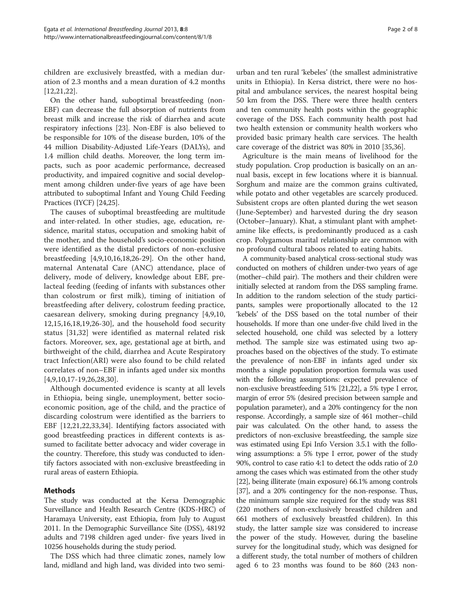children are exclusively breastfed, with a median duration of 2.3 months and a mean duration of 4.2 months [[12,21,22](#page-6-0)].

On the other hand, suboptimal breastfeeding (non-EBF) can decrease the full absorption of nutrients from breast milk and increase the risk of diarrhea and acute respiratory infections [\[23](#page-6-0)]. Non-EBF is also believed to be responsible for 10% of the disease burden, 10% of the 44 million Disability-Adjusted Life-Years (DALYs), and 1.4 million child deaths. Moreover, the long term impacts, such as poor academic performance, decreased productivity, and impaired cognitive and social development among children under-five years of age have been attributed to suboptimal Infant and Young Child Feeding Practices (IYCF) [\[24,25\]](#page-6-0).

The causes of suboptimal breastfeeding are multitude and inter-related. In other studies, age, education, residence, marital status, occupation and smoking habit of the mother, and the household's socio-economic position were identified as the distal predictors of non-exclusive breastfeeding [[4](#page-6-0),[9,10](#page-6-0),[16](#page-6-0),[18](#page-6-0),[26](#page-7-0)-[29\]](#page-7-0). On the other hand, maternal Antenatal Care (ANC) attendance, place of delivery, mode of delivery, knowledge about EBF, prelacteal feeding (feeding of infants with substances other than colostrum or first milk), timing of initiation of breastfeeding after delivery, colostrum feeding practice, caesarean delivery, smoking during pregnancy [[4,9,10](#page-6-0), [12,15,16,18](#page-6-0),[19,](#page-6-0)[26-30\]](#page-7-0), and the household food security status [[31,32](#page-7-0)] were identified as maternal related risk factors. Moreover, sex, age, gestational age at birth, and birthweight of the child, diarrhea and Acute Respiratory tract Infection(ARI) were also found to be child related correlates of non–EBF in infants aged under six months [[4,9,10](#page-6-0),[17-19](#page-6-0),[26,28,30](#page-7-0)].

Although documented evidence is scanty at all levels in Ethiopia, being single, unemployment, better socioeconomic position, age of the child, and the practice of discarding colostrum were identified as the barriers to EBF [[12,21,22](#page-6-0),[33,34\]](#page-7-0). Identifying factors associated with good breastfeeding practices in different contexts is assumed to facilitate better advocacy and wider coverage in the country. Therefore, this study was conducted to identify factors associated with non-exclusive breastfeeding in rural areas of eastern Ethiopia.

## Methods

The study was conducted at the Kersa Demographic Surveillance and Health Research Centre (KDS-HRC) of Haramaya University, east Ethiopia, from July to August 2011. In the Demographic Surveillance Site (DSS), 48192 adults and 7198 children aged under- five years lived in 10256 households during the study period.

The DSS which had three climatic zones, namely low land, midland and high land, was divided into two semi-

urban and ten rural 'kebeles' (the smallest administrative units in Ethiopia). In Kersa district, there were no hospital and ambulance services, the nearest hospital being 50 km from the DSS. There were three health centers and ten community health posts within the geographic coverage of the DSS. Each community health post had two health extension or community health workers who provided basic primary health care services. The health care coverage of the district was 80% in 2010 [[35,36](#page-7-0)].

Agriculture is the main means of livelihood for the study population. Crop production is basically on an annual basis, except in few locations where it is biannual. Sorghum and maize are the common grains cultivated, while potato and other vegetables are scarcely produced. Subsistent crops are often planted during the wet season (June-September) and harvested during the dry season (October–January). Khat, a stimulant plant with amphetamine like effects, is predominantly produced as a cash crop. Polygamous marital relationship are common with no profound cultural taboos related to eating habits.

A community-based analytical cross-sectional study was conducted on mothers of children under-two years of age (mother–child pair). The mothers and their children were initially selected at random from the DSS sampling frame. In addition to the random selection of the study participants, samples were proportionally allocated to the 12 'kebels' of the DSS based on the total number of their households. If more than one under-five child lived in the selected household, one child was selected by a lottery method. The sample size was estimated using two approaches based on the objectives of the study. To estimate the prevalence of non-EBF in infants aged under six months a single population proportion formula was used with the following assumptions: expected prevalence of non-exclusive breastfeeding 51% [\[21,22\]](#page-6-0), a 5% type I error, margin of error 5% (desired precision between sample and population parameter), and a 20% contingency for the non response. Accordingly, a sample size of 461 mother–child pair was calculated. On the other hand, to assess the predictors of non-exclusive breastfeeding, the sample size was estimated using Epi Info Version 3.5.1 with the following assumptions: a 5% type I error, power of the study 90%, control to case ratio 4:1 to detect the odds ratio of 2.0 among the cases which was estimated from the other study [[22](#page-6-0)], being illiterate (main exposure) 66.1% among controls [[37](#page-7-0)], and a 20% contingency for the non-response. Thus, the minimum sample size required for the study was 881 (220 mothers of non-exclusively breastfed children and 661 mothers of exclusively breastfed children). In this study, the latter sample size was considered to increase the power of the study. However, during the baseline survey for the longitudinal study, which was designed for a different study, the total number of mothers of children aged 6 to 23 months was found to be 860 (243 non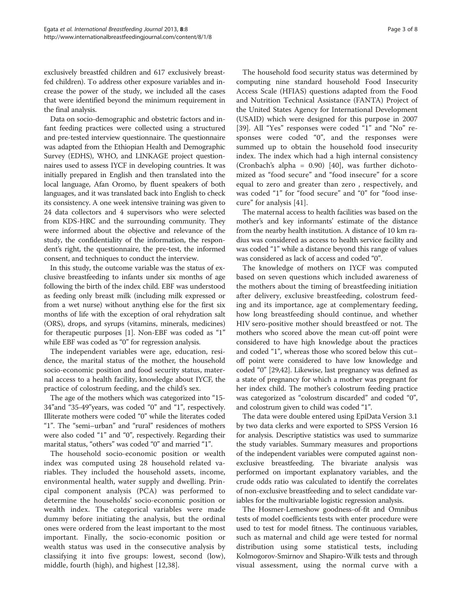exclusively breastfed children and 617 exclusively breastfed children). To address other exposure variables and increase the power of the study, we included all the cases that were identified beyond the minimum requirement in the final analysis.

Data on socio-demographic and obstetric factors and infant feeding practices were collected using a structured and pre-tested interview questionnaire. The questionnaire was adapted from the Ethiopian Health and Demographic Survey (EDHS), WHO, and LINKAGE project questionnaires used to assess IYCF in developing countries. It was initially prepared in English and then translated into the local language, Afan Oromo, by fluent speakers of both languages, and it was translated back into English to check its consistency. A one week intensive training was given to 24 data collectors and 4 supervisors who were selected from KDS-HRC and the surrounding community. They were informed about the objective and relevance of the study, the confidentiality of the information, the respondent's right, the questionnaire, the pre-test, the informed consent, and techniques to conduct the interview.

In this study, the outcome variable was the status of exclusive breastfeeding to infants under six months of age following the birth of the index child. EBF was understood as feeding only breast milk (including milk expressed or from a wet nurse) without anything else for the first six months of life with the exception of oral rehydration salt (ORS), drops, and syrups (vitamins, minerals, medicines) for therapeutic purposes [\[1](#page-6-0)]. Non-EBF was coded as "1" while EBF was coded as "0" for regression analysis.

The independent variables were age, education, residence, the marital status of the mother, the household socio-economic position and food security status, maternal access to a health facility, knowledge about IYCF, the practice of colostrum feeding, and the child's sex.

The age of the mothers which was categorized into "15- 34"and "35-49"years, was coded "0" and "1", respectively. Illiterate mothers were coded "0" while the literates coded "1". The "semi–urban" and "rural" residences of mothers were also coded "1" and "0", respectively. Regarding their marital status, "others" was coded "0" and married "1".

The household socio-economic position or wealth index was computed using 28 household related variables. They included the household assets, income, environmental health, water supply and dwelling. Principal component analysis (PCA) was performed to determine the households' socio-economic position or wealth index. The categorical variables were made dummy before initiating the analysis, but the ordinal ones were ordered from the least important to the most important. Finally, the socio-economic position or wealth status was used in the consecutive analysis by classifying it into five groups: lowest, second (low), middle, fourth (high), and highest [[12,](#page-6-0)[38\]](#page-7-0).

The household food security status was determined by computing nine standard household Food Insecurity Access Scale (HFIAS) questions adapted from the Food and Nutrition Technical Assistance (FANTA) Project of the United States Agency for International Development (USAID) which were designed for this purpose in 2007 [[39\]](#page-7-0). All "Yes" responses were coded "1" and "No" responses were coded "0", and the responses were summed up to obtain the household food insecurity index. The index which had a high internal consistency (Cronbach's alpha = 0.90) [\[40](#page-7-0)], was further dichotomized as "food secure" and "food insecure" for a score equal to zero and greater than zero , respectively, and was coded "1" for "food secure" and "0" for "food insecure" for analysis [[41\]](#page-7-0).

The maternal access to health facilities was based on the mother's and key informants' estimate of the distance from the nearby health institution. A distance of 10 km radius was considered as access to health service facility and was coded "1" while a distance beyond this range of values was considered as lack of access and coded "0".

The knowledge of mothers on IYCF was computed based on seven questions which included awareness of the mothers about the timing of breastfeeding initiation after delivery, exclusive breastfeeding, colostrum feeding and its importance, age at complementary feeding, how long breastfeeding should continue, and whether HIV sero-positive mother should breastfeed or not. The mothers who scored above the mean cut-off point were considered to have high knowledge about the practices and coded "1", whereas those who scored below this cut– off point were considered to have low knowledge and coded "0" [[29,42](#page-7-0)]. Likewise, last pregnancy was defined as a state of pregnancy for which a mother was pregnant for her index child. The mother's colostrum feeding practice was categorized as "colostrum discarded" and coded "0", and colostrum given to child was coded "1".

The data were double entered using EpiData Version 3.1 by two data clerks and were exported to SPSS Version 16 for analysis. Descriptive statistics was used to summarize the study variables. Summary measures and proportions of the independent variables were computed against nonexclusive breastfeeding. The bivariate analysis was performed on important explanatory variables, and the crude odds ratio was calculated to identify the correlates of non-exclusive breastfeeding and to select candidate variables for the multivariable logistic regression analysis.

The Hosmer-Lemeshow goodness-of-fit and Omnibus tests of model coefficients tests with enter procedure were used to test for model fitness. The continuous variables, such as maternal and child age were tested for normal distribution using some statistical tests, including Kolmogorov-Smirnov and Shapiro-Wilk tests and through visual assessment, using the normal curve with a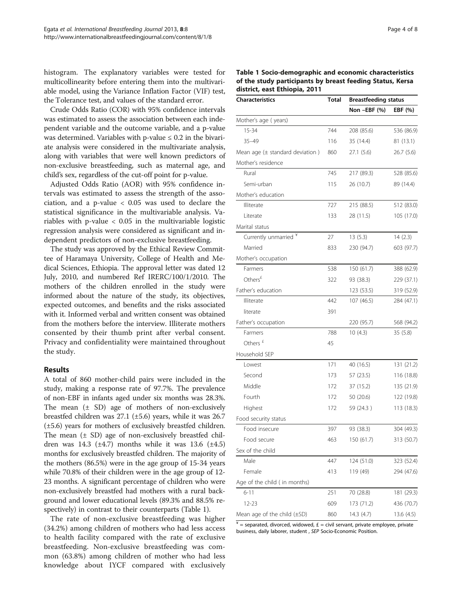histogram. The explanatory variables were tested for multicollinearity before entering them into the multivariable model, using the Variance Inflation Factor (VIF) test, the Tolerance test, and values of the standard error.

Crude Odds Ratio (COR) with 95% confidence intervals was estimated to assess the association between each independent variable and the outcome variable, and a p-value was determined. Variables with p-value  $\leq 0.2$  in the bivariate analysis were considered in the multivariate analysis, along with variables that were well known predictors of non-exclusive breastfeeding, such as maternal age, and child's sex, regardless of the cut-off point for p-value.

Adjusted Odds Ratio (AOR) with 95% confidence intervals was estimated to assess the strength of the association, and a p-value < 0.05 was used to declare the statistical significance in the multivariable analysis. Variables with p-value < 0.05 in the multivariable logistic regression analysis were considered as significant and independent predictors of non-exclusive breastfeeding.

The study was approved by the Ethical Review Committee of Haramaya University, College of Health and Medical Sciences, Ethiopia. The approval letter was dated 12 July, 2010, and numbered Ref IRERC/100/1/2010. The mothers of the children enrolled in the study were informed about the nature of the study, its objectives, expected outcomes, and benefits and the risks associated with it. Informed verbal and written consent was obtained from the mothers before the interview. Illiterate mothers consented by their thumb print after verbal consent. Privacy and confidentiality were maintained throughout the study.

## Results

A total of 860 mother-child pairs were included in the study, making a response rate of 97.7%. The prevalence of non-EBF in infants aged under six months was 28.3%. The mean  $(\pm$  SD) age of mothers of non-exclusively breastfed children was 27.1 (±5.6) years, while it was 26.7 (±5.6) years for mothers of exclusively breastfed children. The mean  $(± SD)$  age of non-exclusively breastfed children was 14.3 ( $\pm$ 4.7) months while it was 13.6 ( $\pm$ 4.5) months for exclusively breastfed children. The majority of the mothers (86.5%) were in the age group of 15-34 years while 70.8% of their children were in the age group of 12- 23 months. A significant percentage of children who were non-exclusively breastfed had mothers with a rural background and lower educational levels (89.3% and 88.5% respectively) in contrast to their counterparts (Table 1).

The rate of non-exclusive breastfeeding was higher (34.2%) among children of mothers who had less access to health facility compared with the rate of exclusive breastfeeding. Non-exclusive breastfeeding was common (63.8%) among children of mother who had less knowledge about IYCF compared with exclusively

| Table 1 Socio-demographic and economic characteristics    |
|-----------------------------------------------------------|
| of the study participants by breast feeding Status, Kersa |
| district, east Ethiopia, 2011                             |

| <b>Characteristics</b>              | Total | <b>Breastfeeding status</b> |            |
|-------------------------------------|-------|-----------------------------|------------|
|                                     |       | Non-EBF (%)                 | EBF (%)    |
| Mother's age (years)                |       |                             |            |
| 15-34                               | 744   | 208 (85.6)                  | 536 (86.9) |
| $35 - 49$                           | 116   | 35 (14.4)                   | 81(13.1)   |
| Mean age $(\pm$ standard deviation) | 860   | 27.1(5.6)                   | 26.7(5.6)  |
| Mother's residence                  |       |                             |            |
| Rural                               | 745   | 217 (89.3)                  | 528 (85.6) |
| Semi-urban                          | 115   | 26 (10.7)                   | 89 (14.4)  |
| Mother's education                  |       |                             |            |
| Illiterate                          | 727   | 215 (88.5)                  | 512 (83.0) |
| Literate                            | 133   | 28 (11.5)                   | 105 (17.0) |
| Marital status                      |       |                             |            |
| Currently unmarried *               | 27    | 13(5.3)                     | 14(2.3)    |
| Married                             | 833   | 230 (94.7)                  | 603 (97.7) |
| Mother's occupation                 |       |                             |            |
| Farmers                             | 538   | 150 (61.7)                  | 388 (62.9) |
| Others <sup>£</sup>                 | 322   | 93 (38.3)                   | 229 (37.1) |
| Father's education                  |       | 123 (53.5)                  | 319 (52.9) |
| Illiterate                          | 442   | 107 (46.5)                  | 284 (47.1) |
| literate                            | 391   |                             |            |
| Father's occupation                 |       | 220 (95.7)                  | 568 (94.2) |
| Farmers                             | 788   | 10(4.3)                     | 35(5.8)    |
| Others $f$                          | 45    |                             |            |
| Household SEP                       |       |                             |            |
| Lowest                              | 171   | 40 (16.5)                   | 131 (21.2) |
| Second                              | 173   | 57 (23.5)                   | 116 (18.8) |
| Middle                              | 172   | 37 (15.2)                   | 135 (21.9) |
| Fourth                              | 172   | 50 (20.6)                   | 122 (19.8) |
| Highest                             | 172   | 59 (24.3)                   | 113 (18.3) |
| Food security status                |       |                             |            |
| Food insecure                       | 397   | 93 (38.3)                   | 304 (49.3) |
| Food secure                         | 463   | 150(61.7)                   | 313 (50.7) |
| Sex of the child                    |       |                             |            |
| Male                                | 447   | 124 (51.0)                  | 323 (52.4) |
| Female                              | 413   | 119 (49)                    | 294 (47.6) |
| Age of the child (in months)        |       |                             |            |
| $6 - 11$                            | 251   | 70 (28.8)                   | 181 (29.3) |
| 12-23                               | 609   | 173 (71.2)                  | 436 (70.7) |
| Mean age of the child $(\pm SD)$    | 860   | 14.3(4.7)                   | 13.6(4.5)  |

 $* =$  separated, divorced, widowed,  $\pounds =$  civil servant, private employee, private business, daily laborer, student , SEP Socio-Economic Position.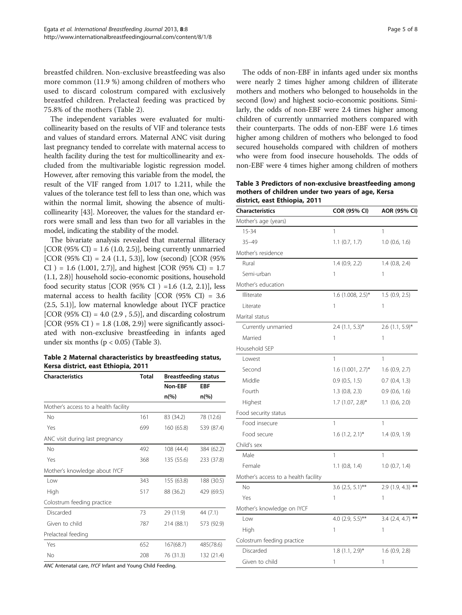<span id="page-4-0"></span>breastfed children. Non-exclusive breastfeeding was also more common (11.9 %) among children of mothers who used to discard colostrum compared with exclusively breastfed children. Prelacteal feeding was practiced by 75.8% of the mothers (Table 2).

The independent variables were evaluated for multicollinearity based on the results of VIF and tolerance tests and values of standard errors. Maternal ANC visit during last pregnancy tended to correlate with maternal access to health facility during the test for multicollinearity and excluded from the multivariable logistic regression model. However, after removing this variable from the model, the result of the VIF ranged from 1.017 to 1.211, while the values of the tolerance test fell to less than one, which was within the normal limit, showing the absence of multicollinearity [\[43\]](#page-7-0). Moreover, the values for the standard errors were small and less than two for all variables in the model, indicating the stability of the model.

The bivariate analysis revealed that maternal illiteracy [COR (95% CI) = 1.6 (1.0, 2.5)], being currently unmarried [COR (95% CI) = 2.4 (1.1, 5.3)], low (second) [COR (95%)  $CI$  ) = 1.6 (1.001, 2.7)], and highest [COR (95% CI) = 1.7 (1.1, 2.8)] household socio-economic positions, household food security status [COR  $(95\% \text{ CI}) = 1.6 (1.2, 2.1)$ ], less maternal access to health facility [COR (95% CI) = 3.6 (2.5, 5.1)], low maternal knowledge about IYCF practice [COR (95% CI) = 4.0 (2.9 , 5.5)], and discarding colostrum [COR (95% CI ) =  $1.8$  (1.08, 2.9)] were significantly associated with non-exclusive breastfeeding in infants aged under six months ( $p < 0.05$ ) (Table 3).

Table 2 Maternal characteristics by breastfeeding status, Kersa district, east Ethiopia, 2011

| <b>Characteristics</b>               | Total | <b>Breastfeeding status</b> |                |
|--------------------------------------|-------|-----------------------------|----------------|
|                                      |       | Non-EBF                     | <b>EBF</b>     |
|                                      |       | $n\frac{6}{6}$              | $n\frac{6}{6}$ |
| Mother's access to a health facility |       |                             |                |
| No                                   | 161   | 83 (34.2)                   | 78 (12.6)      |
| Yes                                  | 699   | 160 (65.8)                  | 539 (87.4)     |
| ANC visit during last pregnancy      |       |                             |                |
| No                                   | 492   | 108 (44.4)                  | 384 (62.2)     |
| Yes                                  | 368   | 135 (55.6)                  | 233 (37.8)     |
| Mother's knowledge about IYCF        |       |                             |                |
| l ow                                 | 343   | 155 (63.8)                  | 188 (30.5)     |
| High                                 | 517   | 88 (36.2)                   | 429 (69.5)     |
| Colostrum feeding practice           |       |                             |                |
| Discarded                            | 73    | 29 (11.9)                   | 44 (7.1)       |
| Given to child                       | 787   | 214 (88.1)                  | 573 (92.9)     |
| Prelacteal feeding                   |       |                             |                |
| Yes                                  | 652   | 167(68.7)                   | 485(78.6)      |
| No                                   | 208   | 76 (31.3)                   | 132 (21.4)     |
|                                      |       |                             |                |

ANC Antenatal care, IYCF Infant and Young Child Feeding.

The odds of non-EBF in infants aged under six months were nearly 2 times higher among children of illiterate mothers and mothers who belonged to households in the second (low) and highest socio-economic positions. Similarly, the odds of non-EBF were 2.4 times higher among children of currently unmarried mothers compared with their counterparts. The odds of non-EBF were 1.6 times higher among children of mothers who belonged to food secured households compared with children of mothers who were from food insecure households. The odds of non-EBF were 4 times higher among children of mothers

Table 3 Predictors of non-exclusive breastfeeding among mothers of children under two years of age, Kersa district, east Ethiopia, 2011

| Characteristics                      | <b>COR (95% CI)</b>  | AOR (95% CI)        |  |
|--------------------------------------|----------------------|---------------------|--|
| Mother's age (years)                 |                      |                     |  |
| 15-34                                | 1                    | 1                   |  |
| $35 - 49$                            | $1.1$ (0.7, 1.7)     | $1.0$ (0.6, 1.6)    |  |
| Mother's residence                   |                      |                     |  |
| Rural                                | 1.4(0.9, 2.2)        | $1.4$ (0.8, 2.4)    |  |
| Semi-urban                           | 1                    | 1                   |  |
| Mother's education                   |                      |                     |  |
| Illiterate                           | $1.6$ (1.008, 2.5)*  | $1.5$ (0.9, 2.5)    |  |
| Literate                             | 1                    | 1                   |  |
| Marital status                       |                      |                     |  |
| Currently unmarried                  | $2.4$ (1.1, 5.3)*    | $2.6$ (1.1, 5.9)*   |  |
| Married                              | 1                    | 1                   |  |
| Household SEP                        |                      |                     |  |
| Lowest                               | 1                    | $\mathbf{1}$        |  |
| Second                               | $1.6$ (1.001, 2.7)*  | $1.6$ (0.9, 2.7)    |  |
| Middle                               | 0.9(0.5, 1.5)        | $0.7$ $(0.4, 1.3)$  |  |
| Fourth                               | $1.3$ (0.8, 2.3)     | $0.9$ $(0.6, 1.6)$  |  |
| Highest                              | 1.7 (1.07, 2.8)*     | $1.1$ (0.6, 2.0)    |  |
| Food security status                 |                      |                     |  |
| Food insecure                        | 1                    | 1                   |  |
| Food secure                          | $1.6$ $(1.2, 2.1)$ * | 1.4(0.9, 1.9)       |  |
| Child's sex                          |                      |                     |  |
| Male                                 | 1                    | 1                   |  |
| Female                               | $1.1$ (0.8, 1.4)     | $1.0$ (0.7, 1.4)    |  |
| Mother's access to a health facility |                      |                     |  |
| <b>No</b>                            | 3.6 $(2.5, 5.1)$ **  | $2.9(1.9, 4.3)$ **  |  |
| Yes                                  | 1                    | 1                   |  |
| Mother's knowledge on IYCF           |                      |                     |  |
| Low                                  | 4.0 (2.9, 5.5)**     | $3.4$ (2.4, 4.7) ** |  |
| High                                 | 1                    | 1                   |  |
| Colostrum feeding practice           |                      |                     |  |
| Discarded                            | $1.8$ (1.1, 2.9)*    | 1.6(0.9, 2.8)       |  |
| Given to child                       | 1                    | 1                   |  |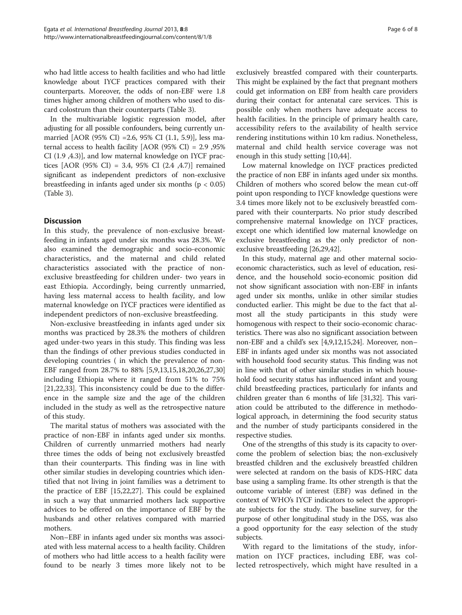who had little access to health facilities and who had little knowledge about IYCF practices compared with their counterparts. Moreover, the odds of non-EBF were 1.8 times higher among children of mothers who used to discard colostrum than their counterparts (Table [3](#page-4-0)).

In the multivariable logistic regression model, after adjusting for all possible confounders, being currently unmarried [AOR (95% CI) =2.6, 95% CI (1.1, 5.9)], less maternal access to health facility [AOR (95% CI) = 2.9 ,95% CI (1.9 ,4.3)], and low maternal knowledge on IYCF practices [AOR (95% CI) = 3.4, 95% CI (2.4 ,4.7)] remained significant as independent predictors of non-exclusive breastfeeding in infants aged under six months ( $p < 0.05$ ) (Table [3](#page-4-0)).

## **Discussion**

In this study, the prevalence of non-exclusive breastfeeding in infants aged under six months was 28.3%. We also examined the demographic and socio-economic characteristics, and the maternal and child related characteristics associated with the practice of nonexclusive breastfeeding for children under- two years in east Ethiopia. Accordingly, being currently unmarried, having less maternal access to health facility, and low maternal knowledge on IYCF practices were identified as independent predictors of non-exclusive breastfeeding.

Non-exclusive breastfeeding in infants aged under six months was practiced by 28.3% the mothers of children aged under-two years in this study. This finding was less than the findings of other previous studies conducted in developing countries ( in which the prevalence of non-EBF ranged from 28.7% to 88% [[5,9,13,15,18,20](#page-6-0),[26](#page-7-0),[27](#page-7-0),[30](#page-7-0)] including Ethiopia where it ranged from 51% to 75% [[21,22,](#page-6-0)[33\]](#page-7-0). This inconsistency could be due to the difference in the sample size and the age of the children included in the study as well as the retrospective nature of this study.

The marital status of mothers was associated with the practice of non-EBF in infants aged under six months. Children of currently unmarried mothers had nearly three times the odds of being not exclusively breastfed than their counterparts. This finding was in line with other similar studies in developing countries which identified that not living in joint families was a detriment to the practice of EBF [[15,22,](#page-6-0)[27\]](#page-7-0). This could be explained in such a way that unmarried mothers lack supportive advices to be offered on the importance of EBF by the husbands and other relatives compared with married mothers.

Non–EBF in infants aged under six months was associated with less maternal access to a health facility. Children of mothers who had little access to a health facility were found to be nearly 3 times more likely not to be exclusively breastfed compared with their counterparts. This might be explained by the fact that pregnant mothers could get information on EBF from health care providers during their contact for antenatal care services. This is possible only when mothers have adequate access to health facilities. In the principle of primary health care, accessibility refers to the availability of health service rendering institutions within 10 km radius. Nonetheless, maternal and child health service coverage was not enough in this study setting [[10,](#page-6-0)[44\]](#page-7-0).

Low maternal knowledge on IYCF practices predicted the practice of non EBF in infants aged under six months. Children of mothers who scored below the mean cut-off point upon responding to IYCF knowledge questions were 3.4 times more likely not to be exclusively breastfed compared with their counterparts. No prior study described comprehensive maternal knowledge on IYCF practices, except one which identified low maternal knowledge on exclusive breastfeeding as the only predictor of nonexclusive breastfeeding [[26,29,42\]](#page-7-0).

In this study, maternal age and other maternal socioeconomic characteristics, such as level of education, residence, and the household socio-economic position did not show significant association with non-EBF in infants aged under six months, unlike in other similar studies conducted earlier. This might be due to the fact that almost all the study participants in this study were homogenous with respect to their socio-economic characteristics. There was also no significant association between non-EBF and a child's sex [\[4,9,12,15,24](#page-6-0)]. Moreover, non– EBF in infants aged under six months was not associated with household food security status. This finding was not in line with that of other similar studies in which household food security status has influenced infant and young child breastfeeding practices, particularly for infants and children greater than 6 months of life [\[31,32\]](#page-7-0). This variation could be attributed to the difference in methodological approach, in determining the food security status and the number of study participants considered in the respective studies.

One of the strengths of this study is its capacity to overcome the problem of selection bias; the non-exclusively breastfed children and the exclusively breastfed children were selected at random on the basis of KDS-HRC data base using a sampling frame. Its other strength is that the outcome variable of interest (EBF) was defined in the context of WHO's IYCF indicators to select the appropriate subjects for the study. The baseline survey, for the purpose of other longitudinal study in the DSS, was also a good opportunity for the easy selection of the study subjects.

With regard to the limitations of the study, information on IYCF practices, including EBF, was collected retrospectively, which might have resulted in a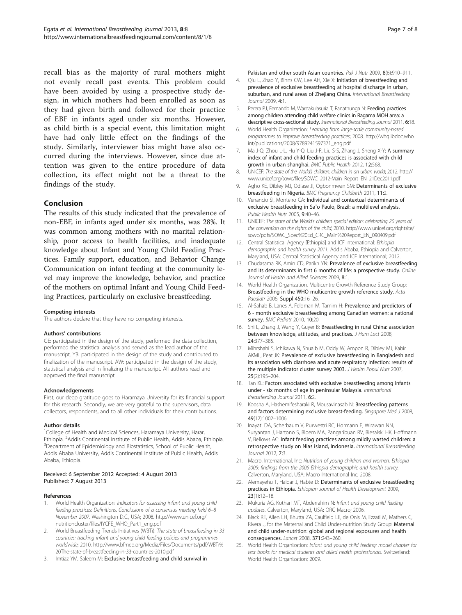<span id="page-6-0"></span>recall bias as the majority of rural mothers might not evenly recall past events. This problem could have been avoided by using a prospective study design, in which mothers had been enrolled as soon as they had given birth and followed for their practice of EBF in infants aged under six months. However, as child birth is a special event, this limitation might have had only little effect on the findings of the study. Similarly, interviewer bias might have also occurred during the interviews. However, since due attention was given to the entire procedure of data collection, its effect might not be a threat to the findings of the study.

### Conclusion

The results of this study indicated that the prevalence of non-EBF, in infants aged under six months, was 28%. It was common among mothers with no marital relationship, poor access to health facilities, and inadequate knowledge about Infant and Young Child Feeding Practices. Family support, education, and Behavior Change Communication on infant feeding at the community level may improve the knowledge, behavior, and practice of the mothers on optimal Infant and Young Child Feeding Practices, particularly on exclusive breastfeeding.

#### Competing interests

The authors declare that they have no competing interests.

#### Authors' contributions

GE: participated in the design of the study, performed the data collection, performed the statistical analysis and served as the lead author of the manuscript. YB: participated in the design of the study and contributed to finalization of the manuscript. AW: participated in the design of the study, statistical analysis and in finalizing the manuscript. All authors read and approved the final manuscript.

#### Acknowledgements

First, our deep gratitude goes to Haramaya University for its financial support for this research. Secondly, we are very grateful to the supervisors, data collectors, respondents, and to all other individuals for their contributions.

#### Author details

<sup>1</sup>College of Health and Medical Sciences, Haramaya University, Harar, Ethiopia. <sup>2</sup> Addis Continental Institute of Public Health, Addis Ababa, Ethiopia.<br><sup>3</sup> Dopartment of Epidemicleau and Biostatistics, School of Public Health. <sup>3</sup>Department of Epidemiology and Biostatistics, School of Public Health Addis Ababa University, Addis Continental Institute of Public Health, Addis Ababa, Ethiopia.

#### Received: 6 September 2012 Accepted: 4 August 2013 Published: 7 August 2013

#### References

- World Health Organization: Indicators for assessing infant and young child feeding practices: Definitions. Conclusions of a consensus meeting held 6–8 November 2007. Washington D.C., USA; 2008. [http://www.unicef.org/](http://www.unicef.org/nutritioncluster/files/IYCFE_WHO_Part1_eng.pdf) [nutritioncluster/files/IYCFE\\_WHO\\_Part1\\_eng.pdf](http://www.unicef.org/nutritioncluster/files/IYCFE_WHO_Part1_eng.pdf)
- 2. World Breastfeeding Trends Initiatives (WBTi): The state of breastfeeding in 33 countries: tracking infant and young child feeding policies and programmes worldwide; 2010. [http://www.bfmed.org/Media/Files/Documents/pdf/WBTi%](http://www.bfmed.org/Media/Files/Documents/pdf/WBTi%20The-state-of-breastfeeding-in-33-countries-2010.pdf) [20The-state-of-breastfeeding-in-33-countries-2010.pdf](http://www.bfmed.org/Media/Files/Documents/pdf/WBTi%20The-state-of-breastfeeding-in-33-countries-2010.pdf)
- 3. Imtiaz YM, Saleem M: Exclusive breastfeeding and child survival in

Pakistan and other south Asian countries. Pak J Nutr 2009, 8(6):910-911.

- 4. Qiu L, Zhao Y, Binns CW, Lee AH, Xie X: Initiation of breastfeeding and prevalence of exclusive breastfeeding at hospital discharge in urban, suburban, and rural areas of Zhejiang China. International Breastfeeding Journal 2009, 4:1.
- 5. Perera PJ, Fernando M, Warnakulasuria T, Ranathunga N: Feeding practices among children attending child welfare clinics in Ragama MOH area: a descriptive cross-sectional study. International Breastfeeding Journal 2011, 6:18.
- 6. World Health Organization: Learning from large-scale community-based programmes to improve breastfeeding practices; 2008. [http://whqlibdoc.who.](http://whqlibdoc.who.int/publications/2008/9789241597371_eng.pdf) [int/publications/2008/9789241597371\\_eng.pdf](http://whqlibdoc.who.int/publications/2008/9789241597371_eng.pdf)
- 7. Ma J-Q, Zhou L-L, Hu Y-Q, Liu J-R, Liu S-S, Zhang J, Sheng X-Y: A summary index of infant and child feeding practices is associated with child growth in urban shanghai. BMC Public Health 2012, 12:568
- 8. UNICEF: The state of the World's children: children in an urban world; 2012. [http://](http://www.unicef.org/sowc/files/SOWC_2012-Main_Report_EN_21Dec2011.pdf) [www.unicef.org/sowc/files/SOWC\\_2012-Main\\_Report\\_EN\\_21Dec2011.pdf](http://www.unicef.org/sowc/files/SOWC_2012-Main_Report_EN_21Dec2011.pdf)
- 9. Agho KE, Dibley MJ, Odiase JI, Ogbonmwan SM: Determinants of exclusive breastfeeding in Nigeria. BMC Pregnancy Childbirth 2011, 11:2.
- 10. Venancio SI, Monteiro CA: Individual and contextual determinants of exclusive breastfeeding in Sa˜o Paulo, Brazil: a multilevel analysis. Public Health Nutr 2005, 9:40–46.
- 11. UNICEF: The state of the World's children special edition: celebrating 20 years of the convention on the rights of the child: 2010. [http://www.unicef.org/rightsite/](http://www.unicef.org/rightsite/sowc/pdfs/SOWC_Spec%20Ed_CRC_Main%20Report_EN_090409.pdf) [sowc/pdfs/SOWC\\_Spec%20Ed\\_CRC\\_Main%20Report\\_EN\\_090409.pdf](http://www.unicef.org/rightsite/sowc/pdfs/SOWC_Spec%20Ed_CRC_Main%20Report_EN_090409.pdf)
- 12. Central Statistical Agency [Ethiopia] and ICF International: Ethiopia demographic and health survey 2011. Addis Ababa, Ethiopia and Calverton, Maryland, USA: Central Statistical Agency and ICF International; 2012.
- 13. Chudasama RK, Amin CD, Parikh YN: Prevalence of exclusive breastfeeding and its determinants in first 6 months of life: a prospective study. Online Journal of Health and Allied Sciences 2009, 8:1.
- 14. World Health Organization, Multicentre Growth Reference Study Group: Breastfeeding in the WHO multicentre growth reference study. Acta Paediatr 2006, Suppl 450:16–26.
- 15. Al-Sahab B, Lanes A, Feldman M, Tamim H: Prevalence and predictors of 6 - month exclusive breastfeeding among Canadian women: a national survey. BMC Pediatr 2010, 10:20.
- 16. Shi L, Zhang J, Wang Y, Guyer B: Breastfeeding in rural China: association between knowledge, attitudes, and practices. J Hum Lact 2008, 24:377–385.
- 17. Mihrshahi S, Ichikawa N, Shuaib M, Oddy W, Ampon R, Dibley MJ, Kabir AKML, Peat JK: Prevalence of exclusive breastfeeding in Bangladesh and its association with diarrhoea and acute respiratory infection: results of the multiple indicator cluster survey 2003. J Health Popul Nutr 2007, 25(2):195–204.
- 18. Tan KL: Factors associated with exclusive breastfeeding among infants under - six months of age in peninsular Malaysia. International Breastfeeding Journal 2011, 6:2.
- 19. Koosha A, Hashemifesharaki R, Mousavinasab N: Breastfeeding patterns and factors determining exclusive breast-feeding. Singapore Med J 2008, 49(12):1002–1006.
- 20. Inayati DA, Scherbaum V, Purwestri RC, Hormann E, Wirawan NN, Suryantan J, Hartono S, Bloem MA, Pangaribuan RV, Biesalski HK, Hoffmann V, Bellows AC: Infant feeding practices among mildly wasted children: a retrospective study on Nias island, Indonesia. International Breastfeeding Journal 2012, 7:3.
- 21. Macro, International, Inc: Nutrition of young children and women, Ethiopia 2005: findings from the 2005 Ethiopia demographic and health survey. Calverton, Maryland, USA: Macro International Inc; 2008.
- 22. Alemayehu T, Haidar J, Habte D: Determinants of exclusive breastfeeding practices in Ethiopia. Ethiopian Journal of Health Development 2009, 23(1):12–18.
- 23. Mukuria AG, Kothari MT, Abderrahim N: Infant and young child feeding updates. Calverton, Maryland, USA: ORC Macro; 2006.
- 24. Black RE, Allen LH, Bhutta ZA, Caulfield LE, de Onis M, Ezzati M, Mathers C, Rivera J, for the Maternal and Child Under-nutrition Study Group: Maternal and child under-nutrition: global and regional exposures and health consequences. Lancet 2008, 371:243–260.
- 25. World Health Organization: Infant and young child feeding: model chapter for text books for medical students and allied health professionals. Switzerland: World Health Organization; 2009.